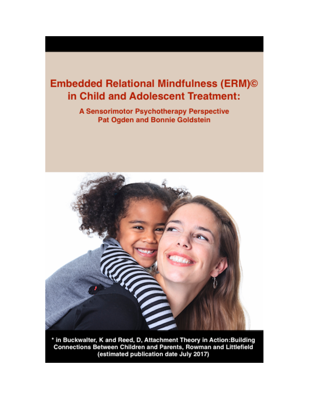# **Embedded Relational Mindfulness (ERM)©** in Child and Adolescent Treatment:

A Sensorimotor Psychotherapy Perspective Pat Ogden and Bonnie Goldstein



\* in Buckwalter, K and Reed, D, Attachment Theory in Action: Building Connections Between Children and Parents, Rowman and Littlefield (estimated publication date July 2017)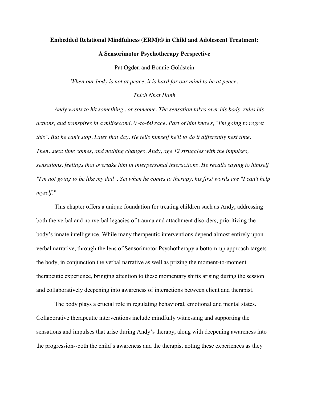# **Embedded Relational Mindfulness (ERM)© in Child and Adolescent Treatment: A Sensorimotor Psychotherapy Perspective**

Pat Ogden and Bonnie Goldstein

*When our body is not at peace, it is hard for our mind to be at peace.*

# *Thich Nhat Hanh*

*Andy wants to hit something...or someone. The sensation takes over his body, rules his actions, and transpires in a milisecond, 0 -to-60 rage. Part of him knows, "I'm going to regret this". But he can't stop. Later that day, He tells himself he'll to do it differently next time. Then...next time comes, and nothing changes. Andy, age 12 struggles with the impulses, sensations, feelings that overtake him in interpersonal interactions. He recalls saying to himself "I'm not going to be like my dad". Yet when he comes to therapy, his first words are "I can't help myself."* 

This chapter offers a unique foundation for treating children such as Andy, addressing both the verbal and nonverbal legacies of trauma and attachment disorders, prioritizing the body's innate intelligence. While many therapeutic interventions depend almost entirely upon verbal narrative, through the lens of Sensorimotor Psychotherapy a bottom-up approach targets the body, in conjunction the verbal narrative as well as prizing the moment-to-moment therapeutic experience, bringing attention to these momentary shifts arising during the session and collaboratively deepening into awareness of interactions between client and therapist.

The body plays a crucial role in regulating behavioral, emotional and mental states. Collaborative therapeutic interventions include mindfully witnessing and supporting the sensations and impulses that arise during Andy's therapy, along with deepening awareness into the progression--both the child's awareness and the therapist noting these experiences as they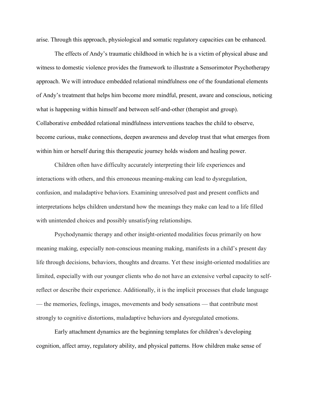arise. Through this approach, physiological and somatic regulatory capacities can be enhanced.

The effects of Andy's traumatic childhood in which he is a victim of physical abuse and witness to domestic violence provides the framework to illustrate a Sensorimotor Psychotherapy approach. We will introduce embedded relational mindfulness one of the foundational elements of Andy's treatment that helps him become more mindful, present, aware and conscious, noticing what is happening within himself and between self-and-other (therapist and group). Collaborative embedded relational mindfulness interventions teaches the child to observe, become curious, make connections, deepen awareness and develop trust that what emerges from within him or herself during this therapeutic journey holds wisdom and healing power.

Children often have difficulty accurately interpreting their life experiences and interactions with others, and this erroneous meaning-making can lead to dysregulation, confusion, and maladaptive behaviors. Examining unresolved past and present conflicts and interpretations helps children understand how the meanings they make can lead to a life filled with unintended choices and possibly unsatisfying relationships.

Psychodynamic therapy and other insight-oriented modalities focus primarily on how meaning making, especially non-conscious meaning making, manifests in a child's present day life through decisions, behaviors, thoughts and dreams. Yet these insight-oriented modalities are limited, especially with our younger clients who do not have an extensive verbal capacity to selfreflect or describe their experience. Additionally, it is the implicit processes that elude language — the memories, feelings, images, movements and body sensations — that contribute most strongly to cognitive distortions, maladaptive behaviors and dysregulated emotions.

Early attachment dynamics are the beginning templates for children's developing cognition, affect array, regulatory ability, and physical patterns. How children make sense of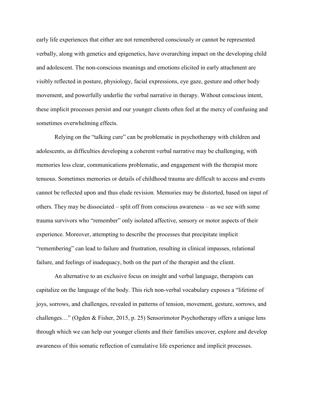early life experiences that either are not remembered consciously or cannot be represented verbally, along with genetics and epigenetics, have overarching impact on the developing child and adolescent. The non-conscious meanings and emotions elicited in early attachment are visibly reflected in posture, physiology, facial expressions, eye gaze, gesture and other body movement, and powerfully underlie the verbal narrative in therapy. Without conscious intent, these implicit processes persist and our younger clients often feel at the mercy of confusing and sometimes overwhelming effects.

Relying on the "talking cure" can be problematic in psychotherapy with children and adolescents, as difficulties developing a coherent verbal narrative may be challenging, with memories less clear, communications problematic, and engagement with the therapist more tenuous. Sometimes memories or details of childhood trauma are difficult to access and events cannot be reflected upon and thus elude revision. Memories may be distorted, based on input of others. They may be dissociated – split off from conscious awareness – as we see with some trauma survivors who "remember" only isolated affective, sensory or motor aspects of their experience. Moreover, attempting to describe the processes that precipitate implicit "remembering" can lead to failure and frustration, resulting in clinical impasses, relational failure, and feelings of inadequacy, both on the part of the therapist and the client.

An alternative to an exclusive focus on insight and verbal language, therapists can capitalize on the language of the body. This rich non-verbal vocabulary exposes a "lifetime of joys, sorrows, and challenges, revealed in patterns of tension, movement, gesture, sorrows, and challenges…" (Ogden & Fisher, 2015, p. 25) Sensorimotor Psychotherapy offers a unique lens through which we can help our younger clients and their families uncover, explore and develop awareness of this somatic reflection of cumulative life experience and implicit processes.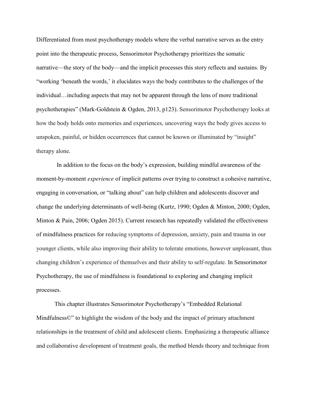Differentiated from most psychotherapy models where the verbal narrative serves as the entry point into the therapeutic process, Sensorimotor Psychotherapy prioritizes the somatic narrative—the story of the body—and the implicit processes this story reflects and sustains. By "working 'beneath the words,' it elucidates ways the body contributes to the challenges of the individual…including aspects that may not be apparent through the lens of more traditional psychotherapies" (Mark-Goldstein & Ogden, 2013, p123). Sensorimotor Psychotherapy looks at how the body holds onto memories and experiences, uncovering ways the body gives access to unspoken, painful, or hidden occurrences that cannot be known or illuminated by "insight" therapy alone.

In addition to the focus on the body's expression, building mindful awareness of the moment-by-moment *experience* of implicit patterns over trying to construct a cohesive narrative, engaging in conversation, or "talking about" can help children and adolescents discover and change the underlying determinants of well-being (Kurtz, 1990; Ogden & Minton, 2000; Ogden, Minton & Pain, 2006; Ogden 2015). Current research has repeatedly validated the effectiveness of mindfulness practices for reducing symptoms of depression, anxiety, pain and trauma in our younger clients, while also improving their ability to tolerate emotions, however unpleasant, thus changing children's experience of themselves and their ability to self-regulate. In Sensorimotor Psychotherapy, the use of mindfulness is foundational to exploring and changing implicit processes.

This chapter illustrates Sensorimotor Psychotherapy's "Embedded Relational Mindfulness<sup> $\mathbb{O}$ " to highlight the wisdom of the body and the impact of primary attachment</sup> relationships in the treatment of child and adolescent clients. Emphasizing a therapeutic alliance and collaborative development of treatment goals, the method blends theory and technique from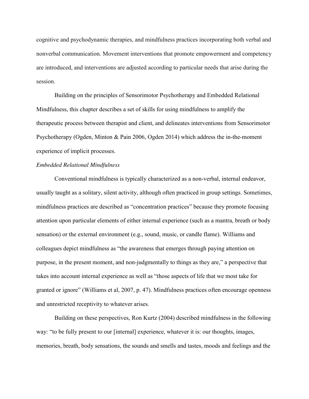cognitive and psychodynamic therapies, and mindfulness practices incorporating both verbal and nonverbal communication. Movement interventions that promote empowerment and competency are introduced, and interventions are adjusted according to particular needs that arise during the session.

Building on the principles of Sensorimotor Psychotherapy and Embedded Relational Mindfulness, this chapter describes a set of skills for using mindfulness to amplify the therapeutic process between therapist and client, and delineates interventions from Sensorimotor Psychotherapy (Ogden, Minton & Pain 2006, Ogden 2014) which address the in-the-moment experience of implicit processes.

# *Embedded Relational Mindfulness*

Conventional mindfulness is typically characterized as a non-verbal, internal endeavor, usually taught as a solitary, silent activity, although often practiced in group settings. Sometimes, mindfulness practices are described as "concentration practices" because they promote focusing attention upon particular elements of either internal experience (such as a mantra, breath or body sensation) or the external environment (e.g., sound, music, or candle flame). Williams and colleagues depict mindfulness as "the awareness that emerges through paying attention on purpose, in the present moment, and non-judgmentally to things as they are," a perspective that takes into account internal experience as well as "those aspects of life that we most take for granted or ignore" (Williams et al, 2007, p. 47). Mindfulness practices often encourage openness and unrestricted receptivity to whatever arises.

Building on these perspectives, Ron Kurtz (2004) described mindfulness in the following way: "to be fully present to our [internal] experience, whatever it is: our thoughts, images, memories, breath, body sensations, the sounds and smells and tastes, moods and feelings and the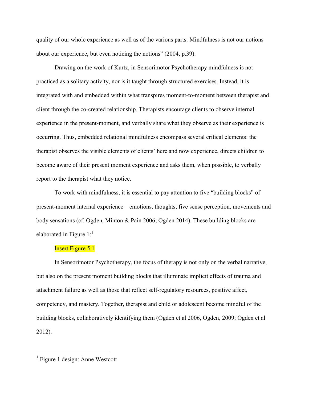quality of our whole experience as well as of the various parts. Mindfulness is not our notions about our experience, but even noticing the notions" (2004, p.39).

Drawing on the work of Kurtz, in Sensorimotor Psychotherapy mindfulness is not practiced as a solitary activity, nor is it taught through structured exercises. Instead, it is integrated with and embedded within what transpires moment-to-moment between therapist and client through the co-created relationship. Therapists encourage clients to observe internal experience in the present-moment, and verbally share what they observe as their experience is occurring. Thus, embedded relational mindfulness encompass several critical elements: the therapist observes the visible elements of clients' here and now experience, directs children to become aware of their present moment experience and asks them, when possible, to verbally report to the therapist what they notice.

To work with mindfulness, it is essential to pay attention to five "building blocks" of present-moment internal experience – emotions, thoughts, five sense perception, movements and body sensations (cf. Ogden, Minton & Pain 2006; Ogden 2014). These building blocks are elaborated in Figure  $1$ :<sup>1</sup>

#### **Insert Figure 5.1**

In Sensorimotor Psychotherapy, the focus of therapy is not only on the verbal narrative, but also on the present moment building blocks that illuminate implicit effects of trauma and attachment failure as well as those that reflect self-regulatory resources, positive affect, competency, and mastery. Together, therapist and child or adolescent become mindful of the building blocks, collaboratively identifying them (Ogden et al 2006, Ogden, 2009; Ogden et al 2012).

<sup>1</sup> Figure 1 design: Anne Westcott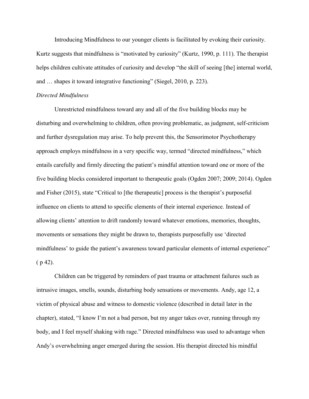Introducing Mindfulness to our younger clients is facilitated by evoking their curiosity. Kurtz suggests that mindfulness is "motivated by curiosity" (Kurtz, 1990, p. 111). The therapist helps children cultivate attitudes of curiosity and develop "the skill of seeing [the] internal world, and … shapes it toward integrative functioning" (Siegel, 2010, p. 223).

#### *Directed Mindfulness*

Unrestricted mindfulness toward any and all of the five building blocks may be disturbing and overwhelming to children, often proving problematic, as judgment, self-criticism and further dysregulation may arise. To help prevent this, the Sensorimotor Psychotherapy approach employs mindfulness in a very specific way, termed "directed mindfulness," which entails carefully and firmly directing the patient's mindful attention toward one or more of the five building blocks considered important to therapeutic goals (Ogden 2007; 2009; 2014). Ogden and Fisher (2015), state "Critical to [the therapeutic] process is the therapist's purposeful influence on clients to attend to specific elements of their internal experience. Instead of allowing clients' attention to drift randomly toward whatever emotions, memories, thoughts, movements or sensations they might be drawn to, therapists purposefully use 'directed mindfulness' to guide the patient's awareness toward particular elements of internal experience"  $(p 42)$ .

Children can be triggered by reminders of past trauma or attachment failures such as intrusive images, smells, sounds, disturbing body sensations or movements. Andy, age 12, a victim of physical abuse and witness to domestic violence (described in detail later in the chapter), stated, "I know I'm not a bad person, but my anger takes over, running through my body, and I feel myself shaking with rage." Directed mindfulness was used to advantage when Andy's overwhelming anger emerged during the session. His therapist directed his mindful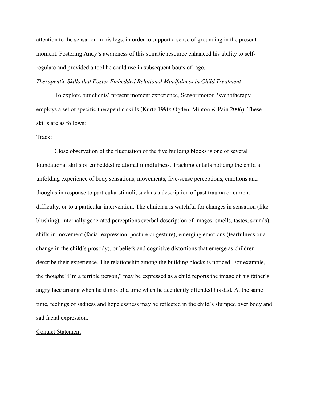attention to the sensation in his legs, in order to support a sense of grounding in the present moment. Fostering Andy's awareness of this somatic resource enhanced his ability to selfregulate and provided a tool he could use in subsequent bouts of rage.

# *Therapeutic Skills that Foster Embedded Relational Mindfulness in Child Treatment*

To explore our clients' present moment experience, Sensorimotor Psychotherapy employs a set of specific therapeutic skills (Kurtz 1990; Ogden, Minton & Pain 2006). These skills are as follows:

### Track:

Close observation of the fluctuation of the five building blocks is one of several foundational skills of embedded relational mindfulness. Tracking entails noticing the child's unfolding experience of body sensations, movements, five-sense perceptions, emotions and thoughts in response to particular stimuli, such as a description of past trauma or current difficulty, or to a particular intervention. The clinician is watchful for changes in sensation (like blushing), internally generated perceptions (verbal description of images, smells, tastes, sounds), shifts in movement (facial expression, posture or gesture), emerging emotions (tearfulness or a change in the child's prosody), or beliefs and cognitive distortions that emerge as children describe their experience. The relationship among the building blocks is noticed. For example, the thought "I'm a terrible person," may be expressed as a child reports the image of his father's angry face arising when he thinks of a time when he accidently offended his dad. At the same time, feelings of sadness and hopelessness may be reflected in the child's slumped over body and sad facial expression.

#### Contact Statement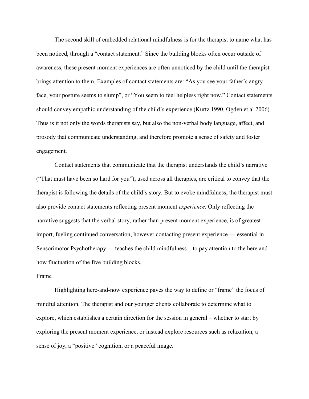The second skill of embedded relational mindfulness is for the therapist to name what has been noticed, through a "contact statement." Since the building blocks often occur outside of awareness, these present moment experiences are often unnoticed by the child until the therapist brings attention to them. Examples of contact statements are: "As you see your father's angry face, your posture seems to slump", or "You seem to feel helpless right now." Contact statements should convey empathic understanding of the child's experience (Kurtz 1990, Ogden et al 2006). Thus is it not only the words therapists say, but also the non-verbal body language, affect, and prosody that communicate understanding, and therefore promote a sense of safety and foster engagement.

Contact statements that communicate that the therapist understands the child's narrative ("That must have been so hard for you"), used across all therapies, are critical to convey that the therapist is following the details of the child's story. But to evoke mindfulness, the therapist must also provide contact statements reflecting present moment *experience*. Only reflecting the narrative suggests that the verbal story, rather than present moment experience, is of greatest import, fueling continued conversation, however contacting present experience — essential in Sensorimotor Psychotherapy — teaches the child mindfulness—to pay attention to the here and how fluctuation of the five building blocks.

#### Frame

Highlighting here-and-now experience paves the way to define or "frame" the focus of mindful attention. The therapist and our younger clients collaborate to determine what to explore, which establishes a certain direction for the session in general – whether to start by exploring the present moment experience, or instead explore resources such as relaxation, a sense of joy, a "positive" cognition, or a peaceful image.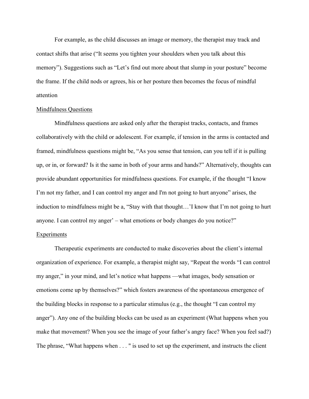For example, as the child discusses an image or memory, the therapist may track and contact shifts that arise ("It seems you tighten your shoulders when you talk about this memory"). Suggestions such as "Let's find out more about that slump in your posture" become the frame. If the child nods or agrees, his or her posture then becomes the focus of mindful attention

#### Mindfulness Questions

Mindfulness questions are asked only after the therapist tracks, contacts, and frames collaboratively with the child or adolescent. For example, if tension in the arms is contacted and framed, mindfulness questions might be, "As you sense that tension, can you tell if it is pulling up, or in, or forward? Is it the same in both of your arms and hands?" Alternatively, thoughts can provide abundant opportunities for mindfulness questions. For example, if the thought "I know I'm not my father, and I can control my anger and I'm not going to hurt anyone" arises, the induction to mindfulness might be a, "Stay with that thought…'I know that I'm not going to hurt anyone. I can control my anger' – what emotions or body changes do you notice?"

# **Experiments**

Therapeutic experiments are conducted to make discoveries about the client's internal organization of experience. For example, a therapist might say, "Repeat the words "I can control my anger," in your mind, and let's notice what happens —what images, body sensation or emotions come up by themselves?" which fosters awareness of the spontaneous emergence of the building blocks in response to a particular stimulus (e.g., the thought "I can control my anger"). Any one of the building blocks can be used as an experiment (What happens when you make that movement? When you see the image of your father's angry face? When you feel sad?) The phrase, "What happens when . . . " is used to set up the experiment, and instructs the client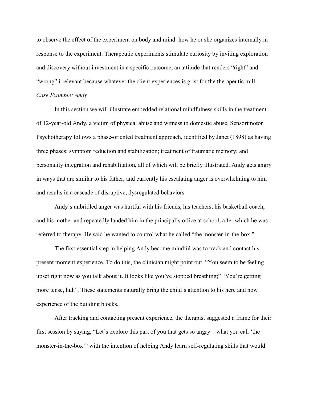to observe the effect of the experiment on body and mind: how he or she organizes internally in response to the experiment. Therapeutic experiments stimulate curiosity by inviting exploration and discovery without investment in a specific outcome, an attitude that renders "right" and "wrong" irrelevant because whatever the client experiences is grist for the therapeutic mill.

# *Case Example: Andy*

In this section we will illustrate embedded relational mindfulness skills in the treatment of 12-year-old Andy, a victim of physical abuse and witness to domestic abuse. Sensorimotor Psychotherapy follows a phase-oriented treatment approach, identified by Janet (1898) as having three phases: symptom reduction and stabilization; treatment of traumatic memory; and personality integration and rehabilitation, all of which will be briefly illustrated. Andy gets angry in ways that are similar to his father, and currently his escalating anger is overwhelming to him and results in a cascade of disruptive, dysregulated behaviors.

Andy's unbridled anger was hurtful with his friends, his teachers, his basketball coach, and his mother and repeatedly landed him in the principal's office at school, after which he was referred to therapy. He said he wanted to control what he called "the monster-in-the-box."

The first essential step in helping Andy become mindful was to track and contact his present moment experience. To do this, the clinician might point out, "You seem to be feeling upset right now as you talk about it. It looks like you've stopped breathing;" "You're getting more tense, huh". These statements naturally bring the child's attention to his here and now experience of the building blocks.

After tracking and contacting present experience, the therapist suggested a frame for their first session by saying, "Let's explore this part of you that gets so angry—what you call 'the monster-in-the-box'" with the intention of helping Andy learn self-regulating skills that would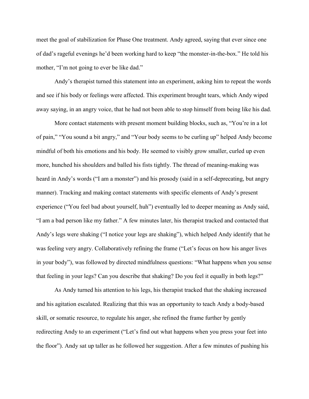meet the goal of stabilization for Phase One treatment. Andy agreed, saying that ever since one of dad's rageful evenings he'd been working hard to keep "the monster-in-the-box." He told his mother, "I'm not going to ever be like dad."

Andy's therapist turned this statement into an experiment, asking him to repeat the words and see if his body or feelings were affected. This experiment brought tears, which Andy wiped away saying, in an angry voice, that he had not been able to stop himself from being like his dad.

More contact statements with present moment building blocks, such as, "You're in a lot of pain," "You sound a bit angry," and "Your body seems to be curling up" helped Andy become mindful of both his emotions and his body. He seemed to visibly grow smaller, curled up even more, hunched his shoulders and balled his fists tightly. The thread of meaning-making was heard in Andy's words ("I am a monster") and his prosody (said in a self-deprecating, but angry manner). Tracking and making contact statements with specific elements of Andy's present experience ("You feel bad about yourself, huh") eventually led to deeper meaning as Andy said, "I am a bad person like my father." A few minutes later, his therapist tracked and contacted that Andy's legs were shaking ("I notice your legs are shaking"), which helped Andy identify that he was feeling very angry. Collaboratively refining the frame ("Let's focus on how his anger lives in your body"), was followed by directed mindfulness questions: "What happens when you sense that feeling in your legs? Can you describe that shaking? Do you feel it equally in both legs?"

As Andy turned his attention to his legs, his therapist tracked that the shaking increased and his agitation escalated. Realizing that this was an opportunity to teach Andy a body-based skill, or somatic resource, to regulate his anger, she refined the frame further by gently redirecting Andy to an experiment ("Let's find out what happens when you press your feet into the floor"). Andy sat up taller as he followed her suggestion. After a few minutes of pushing his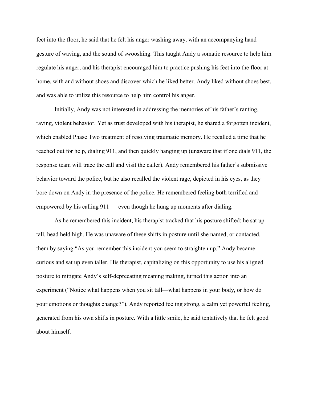feet into the floor, he said that he felt his anger washing away, with an accompanying hand gesture of waving, and the sound of swooshing. This taught Andy a somatic resource to help him regulate his anger, and his therapist encouraged him to practice pushing his feet into the floor at home, with and without shoes and discover which he liked better. Andy liked without shoes best, and was able to utilize this resource to help him control his anger.

Initially, Andy was not interested in addressing the memories of his father's ranting, raving, violent behavior. Yet as trust developed with his therapist, he shared a forgotten incident, which enabled Phase Two treatment of resolving traumatic memory. He recalled a time that he reached out for help, dialing 911, and then quickly hanging up (unaware that if one dials 911, the response team will trace the call and visit the caller). Andy remembered his father's submissive behavior toward the police, but he also recalled the violent rage, depicted in his eyes, as they bore down on Andy in the presence of the police. He remembered feeling both terrified and empowered by his calling 911 — even though he hung up moments after dialing.

As he remembered this incident, his therapist tracked that his posture shifted: he sat up tall, head held high. He was unaware of these shifts in posture until she named, or contacted, them by saying "As you remember this incident you seem to straighten up." Andy became curious and sat up even taller. His therapist, capitalizing on this opportunity to use his aligned posture to mitigate Andy's self-deprecating meaning making, turned this action into an experiment ("Notice what happens when you sit tall—what happens in your body, or how do your emotions or thoughts change?"). Andy reported feeling strong, a calm yet powerful feeling, generated from his own shifts in posture. With a little smile, he said tentatively that he felt good about himself.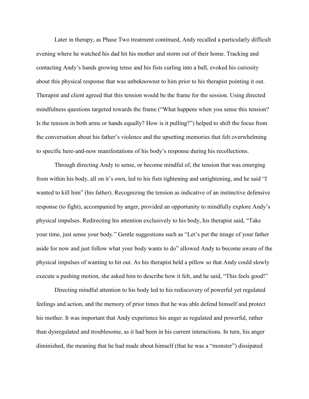Later in therapy, as Phase Two treatment continued, Andy recalled a particularly difficult evening where he watched his dad hit his mother and storm out of their home. Tracking and contacting Andy's hands growing tense and his fists curling into a ball, evoked his curiosity about this physical response that was unbeknownst to him prior to his therapist pointing it out. Therapist and client agreed that this tension would be the frame for the session. Using directed mindfulness questions targeted towards the frame ("What happens when you sense this tension? Is the tension in both arms or hands equally? How is it pulling?") helped to shift the focus from the conversation about his father's violence and the upsetting memories that felt overwhelming to specific here-and-now manifestations of his body's response during his recollections.

Through directing Andy to sense, or become mindful of, the tension that was emerging from within his body, all on it's own, led to his fists tightening and untightening, and he said "I wanted to kill him" (his father). Recognizing the tension as indicative of an instinctive defensive response (to fight), accompanied by anger, provided an opportunity to mindfully explore Andy's physical impulses. Redirecting his attention exclusively to his body, his therapist said, "Take your time, just sense your body." Gentle suggestions such as "Let's put the image of your father aside for now and just follow what your body wants to do" allowed Andy to become aware of the physical impulses of wanting to hit out. As his therapist held a pillow so that Andy could slowly execute a pushing motion, she asked him to describe how it felt, and he said, "This feels good!"

Directing mindful attention to his body led to his rediscovery of powerful yet regulated feelings and action, and the memory of prior times that he was able defend himself and protect his mother. It was important that Andy experience his anger as regulated and powerful, rather than dysregulated and troublesome, as it had been in his current interactions. In turn, his anger diminished, the meaning that he had made about himself (that he was a "monster") dissipated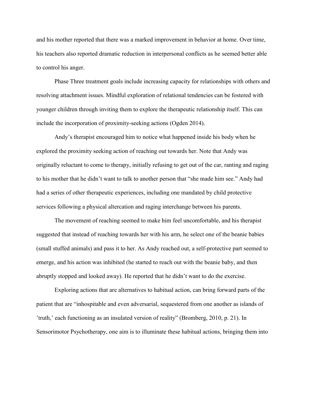and his mother reported that there was a marked improvement in behavior at home. Over time, his teachers also reported dramatic reduction in interpersonal conflicts as he seemed better able to control his anger.

Phase Three treatment goals include increasing capacity for relationships with others and resolving attachment issues. Mindful exploration of relational tendencies can be fostered with younger children through inviting them to explore the therapeutic relationship itself. This can include the incorporation of proximity-seeking actions (Ogden 2014).

Andy's therapist encouraged him to notice what happened inside his body when he explored the proximity seeking action of reaching out towards her. Note that Andy was originally reluctant to come to therapy, initially refusing to get out of the car, ranting and raging to his mother that he didn't want to talk to another person that "she made him see." Andy had had a series of other therapeutic experiences, including one mandated by child protective services following a physical altercation and raging interchange between his parents.

The movement of reaching seemed to make him feel uncomfortable, and his therapist suggested that instead of reaching towards her with his arm, he select one of the beanie babies (small stuffed animals) and pass it to her. As Andy reached out, a self-protective part seemed to emerge, and his action was inhibited (he started to reach out with the beanie baby, and then abruptly stopped and looked away). He reported that he didn't want to do the exercise.

Exploring actions that are alternatives to habitual action, can bring forward parts of the patient that are "inhospitable and even adversarial, sequestered from one another as islands of 'truth,' each functioning as an insulated version of reality" (Bromberg, 2010, p. 21). In Sensorimotor Psychotherapy, one aim is to illuminate these habitual actions, bringing them into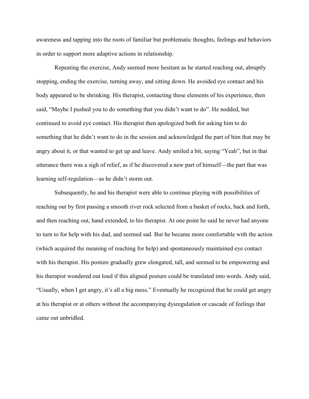awareness and tapping into the roots of familiar but problematic thoughts, feelings and behaviors in order to support more adaptive actions in relationship.

Repeating the exercise, Andy seemed more hesitant as he started reaching out, abruptly stopping, ending the exercise, turning away, and sitting down. He avoided eye contact and his body appeared to be shrinking. His therapist, contacting these elements of his experience, then said, "Maybe I pushed you to do something that you didn't want to do". He nodded, but continued to avoid eye contact. His therapist then apologized both for asking him to do something that he didn't want to do in the session and acknowledged the part of him that may be angry about it, or that wanted to get up and leave. Andy smiled a bit, saying "Yeah", but in that utterance there was a sigh of relief, as if he discovered a new part of himself—the part that was learning self-regulation—as he didn't storm out.

Subsequently, he and his therapist were able to continue playing with possibilities of reaching out by first passing a smooth river rock selected from a basket of rocks, back and forth, and then reaching out, hand extended, to his therapist. At one point he said he never had anyone to turn to for help with his dad, and seemed sad. But he became more comfortable with the action (which acquired the meaning of reaching for help) and spontaneously maintained eye contact with his therapist. His posture gradually grew elongated, tall, and seemed to be empowering and his therapist wondered out loud if this aligned posture could be translated into words. Andy said, "Usually, when I get angry, it's all a big mess." Eventually he recognized that he could get angry at his therapist or at others without the accompanying dysregulation or cascade of feelings that came out unbridled.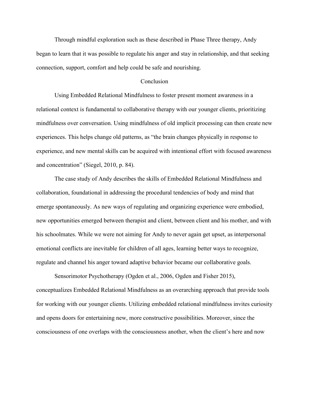Through mindful exploration such as these described in Phase Three therapy, Andy began to learn that it was possible to regulate his anger and stay in relationship, and that seeking connection, support, comfort and help could be safe and nourishing.

#### **Conclusion**

Using Embedded Relational Mindfulness to foster present moment awareness in a relational context is fundamental to collaborative therapy with our younger clients, prioritizing mindfulness over conversation. Using mindfulness of old implicit processing can then create new experiences. This helps change old patterns, as "the brain changes physically in response to experience, and new mental skills can be acquired with intentional effort with focused awareness and concentration" (Siegel, 2010, p. 84).

The case study of Andy describes the skills of Embedded Relational Mindfulness and collaboration, foundational in addressing the procedural tendencies of body and mind that emerge spontaneously. As new ways of regulating and organizing experience were embodied, new opportunities emerged between therapist and client, between client and his mother, and with his schoolmates. While we were not aiming for Andy to never again get upset, as interpersonal emotional conflicts are inevitable for children of all ages, learning better ways to recognize, regulate and channel his anger toward adaptive behavior became our collaborative goals.

Sensorimotor Psychotherapy (Ogden et al., 2006, Ogden and Fisher 2015), conceptualizes Embedded Relational Mindfulness as an overarching approach that provide tools for working with our younger clients. Utilizing embedded relational mindfulness invites curiosity and opens doors for entertaining new, more constructive possibilities. Moreover, since the consciousness of one overlaps with the consciousness another, when the client's here and now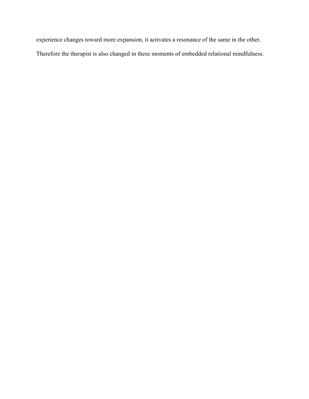experience changes toward more expansion, it activates a resonance of the same in the other. Therefore the therapist is also changed in these moments of embedded relational mindfulness.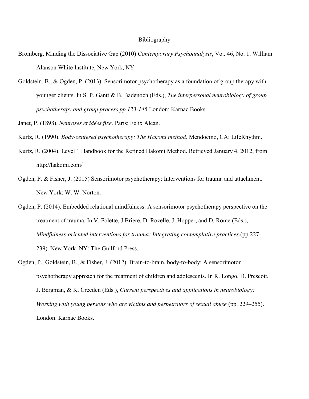#### Bibliography

- Bromberg, Minding the Dissociative Gap (2010) *Contemporary Psychoanalysis*, Vo.. 46, No. 1. William Alanson White Institute, New York, NY
- Goldstein, B., & Ogden, P. (2013). Sensorimotor psychotherapy as a foundation of group therapy with younger clients. In S. P. Gantt & B. Badenoch (Eds.), *The interpersonal neurobiology of group psychotherapy and group process pp 123-145* London: Karnac Books.
- Janet, P. (1898). *Neuroses et idées fixe.* Paris: Felix Alcan.
- Kurtz, R. (1990). *Body-centered psychotherapy: The Hakomi method*. Mendocino, CA: LifeRhythm.
- Kurtz, R. (2004). Level 1 Handbook for the Refined Hakomi Method. Retrieved January 4, 2012, from http://hakomi.com/
- Ogden, P. & Fisher, J. (2015) Sensorimotor psychotherapy: Interventions for trauma and attachment. New York: W. W. Norton.
- Ogden, P. (2014). Embedded relational mindfulness: A sensorimotor psychotherapy perspective on the treatment of trauma. In V. Folette, J Briere, D. Rozelle, J. Hopper, and D. Rome (Eds.), *Mindfulness-oriented interventions for trauma: Integrating contemplative practices.*(pp.227- 239). New York, NY: The Guilford Press.
- Ogden, P., Goldstein, B., & Fisher, J. (2012). Brain-to-brain, body-to-body: A sensorimotor psychotherapy approach for the treatment of children and adolescents. In R. Longo, D. Prescott, J. Bergman, & K. Creeden (Eds.), *Current perspectives and applications in neurobiology: Working with young persons who are victims and perpetrators of sexual abuse (pp. 229–255).* London: Karnac Books.